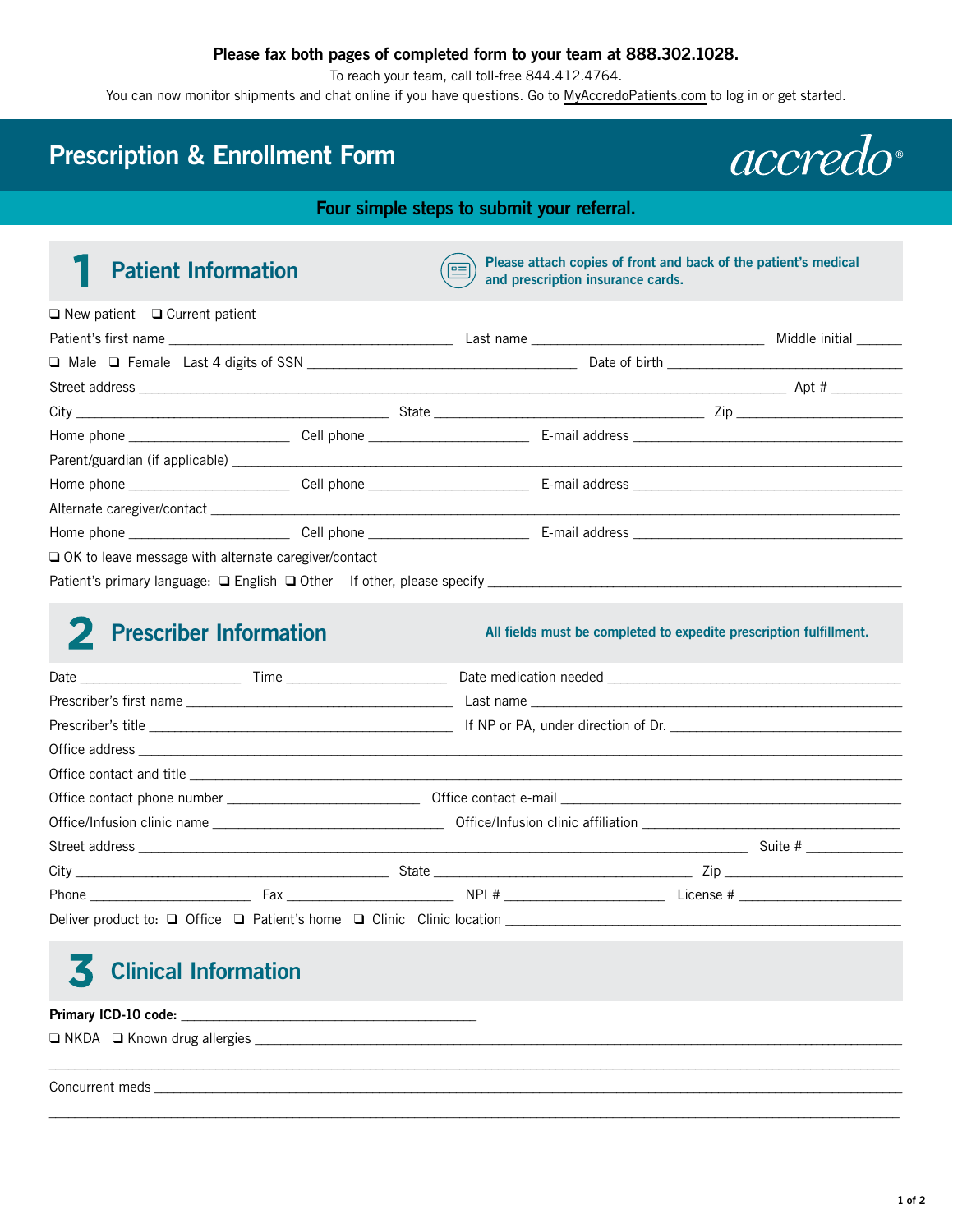### **Please fax both pages of completed form to your team at 888.302.1028.**

To reach your team, call toll-free 844.412.4764.

You can now monitor shipments and chat online if you have questions. Go to [MyAccredoPatients.com](https://prescribers.accredo.com/frontend/apw/login) to log in or get started.

## **Prescription & Enrollment Form**

*accredo* 

**Four simple steps to submit your referral.**

**Patient Information Please attach copies of front and back of the patient's medical and prescription insurance cards.** 

| $\Box$ New patient $\Box$ Current patient              |  |                   |  |
|--------------------------------------------------------|--|-------------------|--|
|                                                        |  |                   |  |
|                                                        |  |                   |  |
|                                                        |  |                   |  |
|                                                        |  | $City$ $\Box$ Zip |  |
|                                                        |  |                   |  |
|                                                        |  |                   |  |
|                                                        |  |                   |  |
|                                                        |  |                   |  |
|                                                        |  |                   |  |
| □ OK to leave message with alternate caregiver/contact |  |                   |  |
|                                                        |  |                   |  |

## **2** Prescriber Information

All fields must be completed to expedite prescription fulfillment.

|  |  | Phone $\frac{1}{2}$ Fax $\frac{1}{2}$ Fax $\frac{1}{2}$ RPI # $\frac{1}{2}$ Eicense # $\frac{1}{2}$ Exercise $\frac{1}{2}$ Exercise $\frac{1}{2}$ Exercise $\frac{1}{2}$ Exercise $\frac{1}{2}$ Exercise $\frac{1}{2}$ Exercise $\frac{1}{2}$ Exercise $\frac{1}{2}$ Exercise |
|--|--|-------------------------------------------------------------------------------------------------------------------------------------------------------------------------------------------------------------------------------------------------------------------------------|
|  |  |                                                                                                                                                                                                                                                                               |

\_\_\_\_\_\_\_\_\_\_\_\_\_\_\_\_\_\_\_\_\_\_\_\_\_\_\_\_\_\_\_\_\_\_\_\_\_\_\_\_\_\_\_\_\_\_\_\_\_\_\_\_\_\_\_\_\_\_\_\_\_\_\_\_\_\_\_\_\_\_\_\_\_\_\_\_\_\_\_\_\_\_\_\_\_\_\_\_\_\_\_\_\_\_\_\_\_\_\_\_\_\_\_\_\_\_\_\_\_\_\_\_\_\_\_\_\_\_\_\_\_\_\_\_\_\_\_\_\_\_\_\_\_

\_\_\_\_\_\_\_\_\_\_\_\_\_\_\_\_\_\_\_\_\_\_\_\_\_\_\_\_\_\_\_\_\_\_\_\_\_\_\_\_\_\_\_\_\_\_\_\_\_\_\_\_\_\_\_\_\_\_\_\_\_\_\_\_\_\_\_\_\_\_\_\_\_\_\_\_\_\_\_\_\_\_\_\_\_\_\_\_\_\_\_\_\_\_\_\_\_\_\_\_\_\_\_\_\_\_\_\_\_\_\_\_\_\_\_\_\_\_\_\_\_\_\_\_\_\_\_\_\_\_\_\_\_

### **Clinical Information** 3

Primary ICD-10 code: □ NKDA □ Known drug allergies \_\_\_

Concurrent meds \_\_\_\_